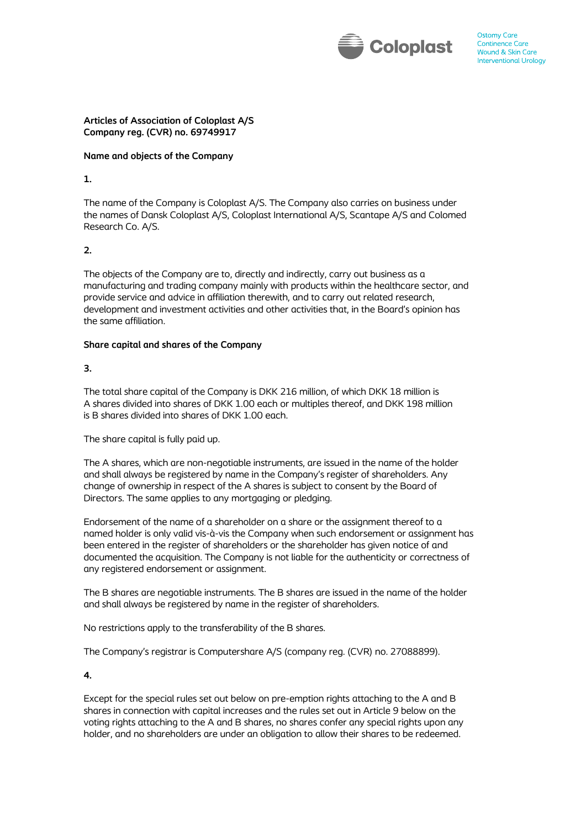

### **Articles of Association of Coloplast A/S Company reg. (CVR) no. 69749917**

### **Name and objects of the Company**

## **1.**

The name of the Company is Coloplast A/S. The Company also carries on business under the names of Dansk Coloplast A/S, Coloplast International A/S, Scantape A/S and Colomed Research Co. A/S.

# **2.**

The objects of the Company are to, directly and indirectly, carry out business as a manufacturing and trading company mainly with products within the healthcare sector, and provide service and advice in affiliation therewith, and to carry out related research, development and investment activities and other activities that, in the Board's opinion has the same affiliation.

# **Share capital and shares of the Company**

# **3.**

The total share capital of the Company is DKK 216 million, of which DKK 18 million is A shares divided into shares of DKK 1.00 each or multiples thereof, and DKK 198 million is B shares divided into shares of DKK 1.00 each.

The share capital is fully paid up.

The A shares, which are non-negotiable instruments, are issued in the name of the holder and shall always be registered by name in the Company's register of shareholders. Any change of ownership in respect of the A shares is subject to consent by the Board of Directors. The same applies to any mortgaging or pledging.

Endorsement of the name of a shareholder on a share or the assignment thereof to a named holder is only valid vis-à-vis the Company when such endorsement or assignment has been entered in the register of shareholders or the shareholder has given notice of and documented the acquisition. The Company is not liable for the authenticity or correctness of any registered endorsement or assignment.

The B shares are negotiable instruments. The B shares are issued in the name of the holder and shall always be registered by name in the register of shareholders.

No restrictions apply to the transferability of the B shares.

The Company's registrar is Computershare A/S (company reg. (CVR) no. 27088899).

**4.**

Except for the special rules set out below on pre-emption rights attaching to the A and B shares in connection with capital increases and the rules set out in Article 9 below on the voting rights attaching to the A and B shares, no shares confer any special rights upon any holder, and no shareholders are under an obligation to allow their shares to be redeemed.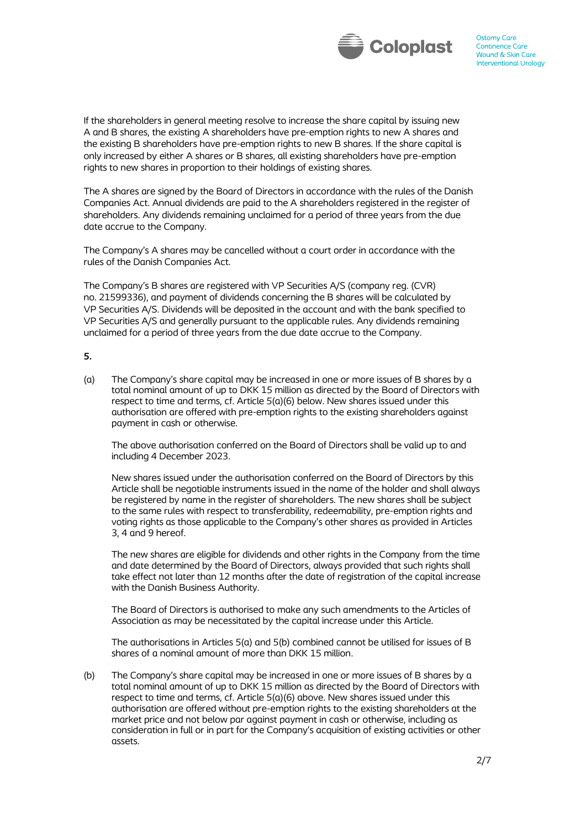

If the shareholders in general meeting resolve to increase the share capital by issuing new A and B shares, the existing A shareholders have pre-emption rights to new A shares and the existing B shareholders have pre-emption rights to new B shares. If the share capital is only increased by either A shares or B shares, all existing shareholders have pre-emption rights to new shares in proportion to their holdings of existing shares.

The A shares are signed by the Board of Directors in accordance with the rules of the Danish Companies Act. Annual dividends are paid to the A shareholders registered in the register of shareholders. Any dividends remaining unclaimed for a period of three years from the due date accrue to the Company.

The Company's A shares may be cancelled without a court order in accordance with the rules of the Danish Companies Act.

The Company's B shares are registered with VP Securities A/S (company reg. (CVR) no. 21599336), and payment of dividends concerning the B shares will be calculated by VP Securities A/S. Dividends will be deposited in the account and with the bank specified to VP Securities A/S and generally pursuant to the applicable rules. Any dividends remaining unclaimed for a period of three years from the due date accrue to the Company.

#### **5.**

(a) The Company's share capital may be increased in one or more issues of B shares by a total nominal amount of up to DKK 15 million as directed by the Board of Directors with respect to time and terms, cf. Article 5(a)(6) below. New shares issued under this authorisation are offered with pre-emption rights to the existing shareholders against payment in cash or otherwise.

The above authorisation conferred on the Board of Directors shall be valid up to and including 4 December 2023.

New shares issued under the authorisation conferred on the Board of Directors by this Article shall be negotiable instruments issued in the name of the holder and shall always be registered by name in the register of shareholders. The new shares shall be subject to the same rules with respect to transferability, redeemability, pre-emption rights and voting rights as those applicable to the Company's other shares as provided in Articles 3, 4 and 9 hereof.

The new shares are eligible for dividends and other rights in the Company from the time and date determined by the Board of Directors, always provided that such rights shall take effect not later than 12 months after the date of registration of the capital increase with the Danish Business Authority.

The Board of Directors is authorised to make any such amendments to the Articles of Association as may be necessitated by the capital increase under this Article.

The authorisations in Articles 5(a) and 5(b) combined cannot be utilised for issues of B shares of a nominal amount of more than DKK 15 million.

(b) The Company's share capital may be increased in one or more issues of B shares by a total nominal amount of up to DKK 15 million as directed by the Board of Directors with respect to time and terms, cf. Article 5(a)(6) above. New shares issued under this authorisation are offered without pre-emption rights to the existing shareholders at the market price and not below par against payment in cash or otherwise, including as consideration in full or in part for the Company's acquisition of existing activities or other assets.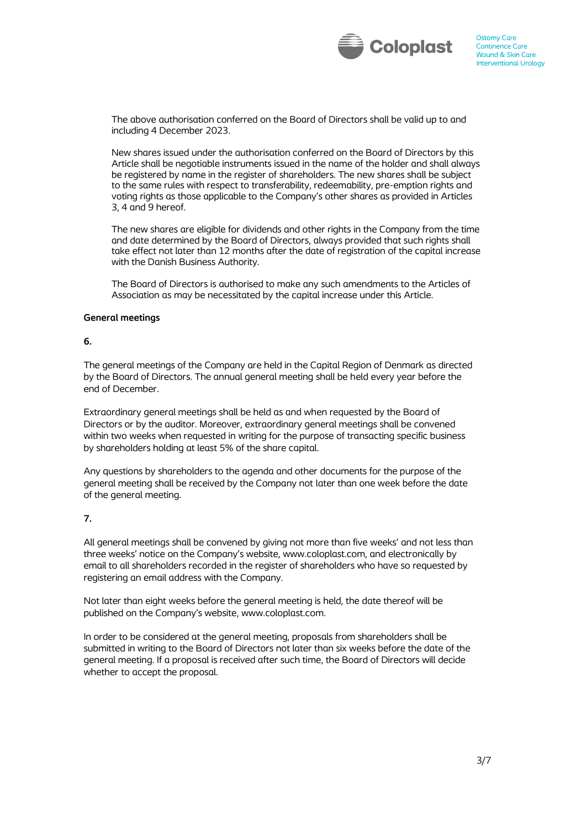

The above authorisation conferred on the Board of Directors shall be valid up to and including 4 December 2023.

New shares issued under the authorisation conferred on the Board of Directors by this Article shall be negotiable instruments issued in the name of the holder and shall always be registered by name in the register of shareholders. The new shares shall be subject to the same rules with respect to transferability, redeemability, pre-emption rights and voting rights as those applicable to the Company's other shares as provided in Articles 3, 4 and 9 hereof.

The new shares are eligible for dividends and other rights in the Company from the time and date determined by the Board of Directors, always provided that such rights shall take effect not later than 12 months after the date of registration of the capital increase with the Danish Business Authority.

The Board of Directors is authorised to make any such amendments to the Articles of Association as may be necessitated by the capital increase under this Article.

#### **General meetings**

#### **6.**

The general meetings of the Company are held in the Capital Region of Denmark as directed by the Board of Directors. The annual general meeting shall be held every year before the end of December.

Extraordinary general meetings shall be held as and when requested by the Board of Directors or by the auditor. Moreover, extraordinary general meetings shall be convened within two weeks when requested in writing for the purpose of transacting specific business by shareholders holding at least 5% of the share capital.

Any questions by shareholders to the agenda and other documents for the purpose of the general meeting shall be received by the Company not later than one week before the date of the general meeting.

### **7.**

All general meetings shall be convened by giving not more than five weeks' and not less than three weeks' notice on the Company's website, www.coloplast.com, and electronically by email to all shareholders recorded in the register of shareholders who have so requested by registering an email address with the Company.

Not later than eight weeks before the general meeting is held, the date thereof will be published on the Company's website, www.coloplast.com.

In order to be considered at the general meeting, proposals from shareholders shall be submitted in writing to the Board of Directors not later than six weeks before the date of the general meeting. If a proposal is received after such time, the Board of Directors will decide whether to accept the proposal.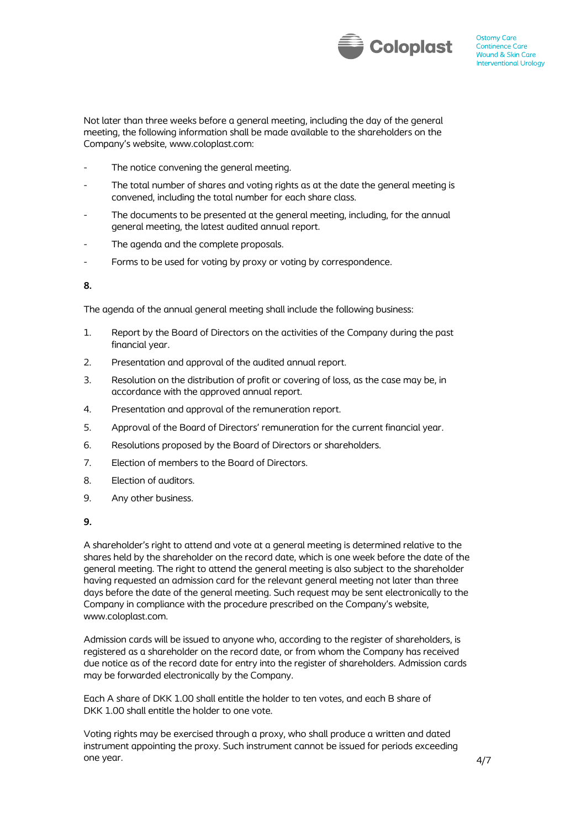

Not later than three weeks before a general meeting, including the day of the general meeting, the following information shall be made available to the shareholders on the Company's website, www.coloplast.com:

- The notice convening the general meeting.
- The total number of shares and voting rights as at the date the general meeting is convened, including the total number for each share class.
- The documents to be presented at the general meeting, including, for the annual general meeting, the latest audited annual report.
- The agenda and the complete proposals.
- Forms to be used for voting by proxy or voting by correspondence.

**8.**

The agenda of the annual general meeting shall include the following business:

- 1. Report by the Board of Directors on the activities of the Company during the past financial year.
- 2. Presentation and approval of the audited annual report.
- 3. Resolution on the distribution of profit or covering of loss, as the case may be, in accordance with the approved annual report.
- 4. Presentation and approval of the remuneration report.
- 5. Approval of the Board of Directors' remuneration for the current financial year.
- 6. Resolutions proposed by the Board of Directors or shareholders.
- 7. Election of members to the Board of Directors.
- 8. Election of auditors.
- 9. Any other business.
- **9.**

A shareholder's right to attend and vote at a general meeting is determined relative to the shares held by the shareholder on the record date, which is one week before the date of the general meeting. The right to attend the general meeting is also subject to the shareholder having requested an admission card for the relevant general meeting not later than three days before the date of the general meeting. Such request may be sent electronically to the Company in compliance with the procedure prescribed on the Company's website, www.coloplast.com.

Admission cards will be issued to anyone who, according to the register of shareholders, is registered as a shareholder on the record date, or from whom the Company has received due notice as of the record date for entry into the register of shareholders. Admission cards may be forwarded electronically by the Company.

Each A share of DKK 1.00 shall entitle the holder to ten votes, and each B share of DKK 1.00 shall entitle the holder to one vote.

Voting rights may be exercised through a proxy, who shall produce a written and dated instrument appointing the proxy. Such instrument cannot be issued for periods exceeding one year.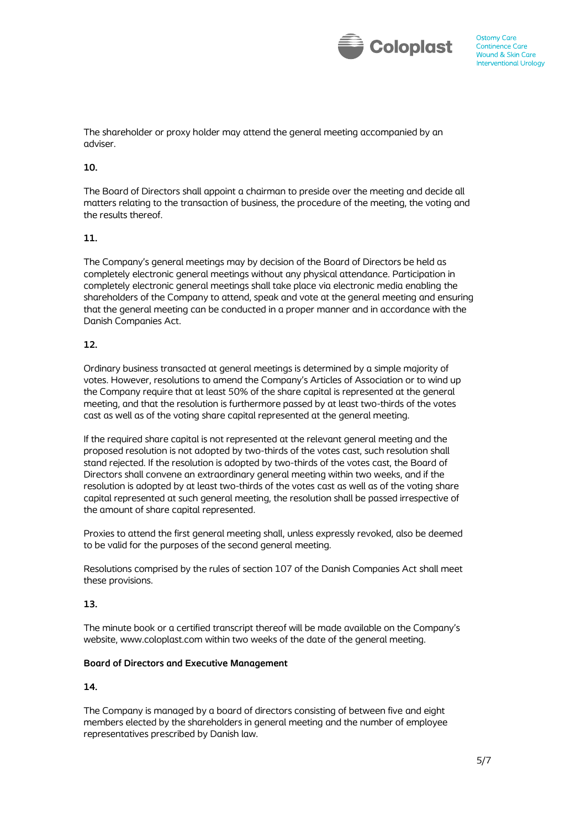

The shareholder or proxy holder may attend the general meeting accompanied by an adviser.

# **10.**

The Board of Directors shall appoint a chairman to preside over the meeting and decide all matters relating to the transaction of business, the procedure of the meeting, the voting and the results thereof.

### **11.**

The Company's general meetings may by decision of the Board of Directors be held as completely electronic general meetings without any physical attendance. Participation in completely electronic general meetings shall take place via electronic media enabling the shareholders of the Company to attend, speak and vote at the general meeting and ensuring that the general meeting can be conducted in a proper manner and in accordance with the Danish Companies Act.

## **12.**

Ordinary business transacted at general meetings is determined by a simple majority of votes. However, resolutions to amend the Company's Articles of Association or to wind up the Company require that at least 50% of the share capital is represented at the general meeting, and that the resolution is furthermore passed by at least two-thirds of the votes cast as well as of the voting share capital represented at the general meeting.

If the required share capital is not represented at the relevant general meeting and the proposed resolution is not adopted by two-thirds of the votes cast, such resolution shall stand rejected. If the resolution is adopted by two-thirds of the votes cast, the Board of Directors shall convene an extraordinary general meeting within two weeks, and if the resolution is adopted by at least two-thirds of the votes cast as well as of the voting share capital represented at such general meeting, the resolution shall be passed irrespective of the amount of share capital represented.

Proxies to attend the first general meeting shall, unless expressly revoked, also be deemed to be valid for the purposes of the second general meeting.

Resolutions comprised by the rules of section 107 of the Danish Companies Act shall meet these provisions.

### **13.**

The minute book or a certified transcript thereof will be made available on the Company's website, www.coloplast.com within two weeks of the date of the general meeting.

## **Board of Directors and Executive Management**

### **14.**

The Company is managed by a board of directors consisting of between five and eight members elected by the shareholders in general meeting and the number of employee representatives prescribed by Danish law.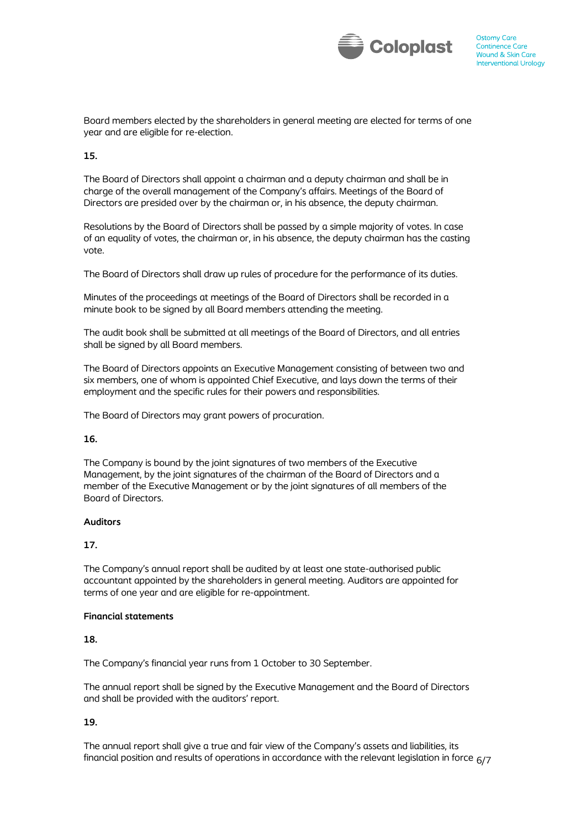

Board members elected by the shareholders in general meeting are elected for terms of one year and are eligible for re-election.

# **15.**

The Board of Directors shall appoint a chairman and a deputy chairman and shall be in charge of the overall management of the Company's affairs. Meetings of the Board of Directors are presided over by the chairman or, in his absence, the deputy chairman.

Resolutions by the Board of Directors shall be passed by a simple majority of votes. In case of an equality of votes, the chairman or, in his absence, the deputy chairman has the casting vote.

The Board of Directors shall draw up rules of procedure for the performance of its duties.

Minutes of the proceedings at meetings of the Board of Directors shall be recorded in a minute book to be signed by all Board members attending the meeting.

The audit book shall be submitted at all meetings of the Board of Directors, and all entries shall be signed by all Board members.

The Board of Directors appoints an Executive Management consisting of between two and six members, one of whom is appointed Chief Executive, and lays down the terms of their employment and the specific rules for their powers and responsibilities.

The Board of Directors may grant powers of procuration.

### **16.**

The Company is bound by the joint signatures of two members of the Executive Management, by the joint signatures of the chairman of the Board of Directors and a member of the Executive Management or by the joint signatures of all members of the Board of Directors.

### **Auditors**

### **17.**

The Company's annual report shall be audited by at least one state-authorised public accountant appointed by the shareholders in general meeting. Auditors are appointed for terms of one year and are eligible for re-appointment.

### **Financial statements**

### **18.**

The Company's financial year runs from 1 October to 30 September.

The annual report shall be signed by the Executive Management and the Board of Directors and shall be provided with the auditors' report.

### **19.**

financial position and results of operations in accordance with the relevant legislation in force  $_{\rm 6/7}$ The annual report shall give a true and fair view of the Company's assets and liabilities, its